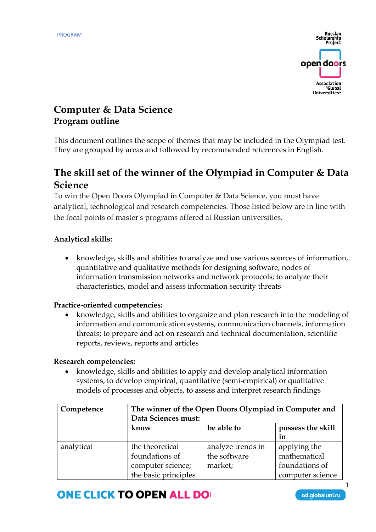

## **Computer & Data Science Program outline**

This document outlines the scope of themes that may be included in the Olympiad test. They are grouped by areas and followed by recommended references in English.

## **The skill set of the winner of the Olympiad in Computer & Data Science**

To win the Open Doors Olympiad in Computer & Data Science, you must have analytical, technological and research competencies. Those listed below are in line with the focal points of master's programs offered at Russian universities.

#### **Analytical skills:**

• knowledge, skills and abilities to analyze and use various sources of information, quantitative and qualitative methods for designing software, nodes of information transmission networks and network protocols; to analyze their characteristics, model and assess information security threats

#### **Practice-oriented competencies:**

• knowledge, skills and abilities to organize and plan research into the modeling of information and communication systems, communication channels, information threats; to prepare and act on research and technical documentation, scientific reports, reviews, reports and articles

#### **Research competencies:**

• knowledge, skills and abilities to apply and develop analytical information systems, to develop empirical, quantitative (semi-empirical) or qualitative models of processes and objects, to assess and interpret research findings

| Competence | The winner of the Open Doors Olympiad in Computer and<br>Data Sciences must:   |                                              |                                                                    |  |
|------------|--------------------------------------------------------------------------------|----------------------------------------------|--------------------------------------------------------------------|--|
|            | know                                                                           | be able to                                   | possess the skill<br>in                                            |  |
| analytical | the theoretical<br>foundations of<br>computer science;<br>the basic principles | analyze trends in<br>the software<br>market; | applying the<br>mathematical<br>foundations of<br>computer science |  |

# **ONE CLICK TO OPEN ALL DO**

od.globaluni.ru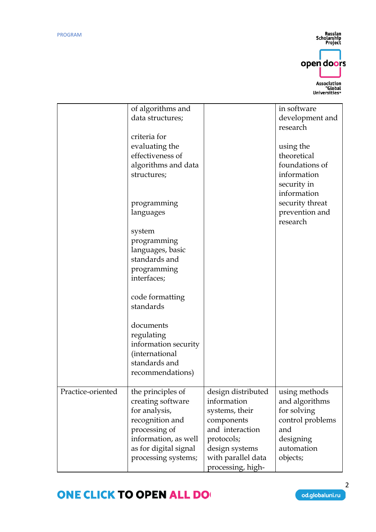Russian<br>Scholarship<br>Project



|                   | of algorithms and<br>data structures;                                                                                                                               |                                                                                                                                                                 | in software<br>development and                                                                                   |
|-------------------|---------------------------------------------------------------------------------------------------------------------------------------------------------------------|-----------------------------------------------------------------------------------------------------------------------------------------------------------------|------------------------------------------------------------------------------------------------------------------|
|                   | criteria for<br>evaluating the<br>effectiveness of                                                                                                                  |                                                                                                                                                                 | research<br>using the<br>theoretical                                                                             |
|                   | algorithms and data<br>structures;                                                                                                                                  |                                                                                                                                                                 | foundations of<br>information<br>security in<br>information                                                      |
|                   | programming<br>languages                                                                                                                                            |                                                                                                                                                                 | security threat<br>prevention and<br>research                                                                    |
|                   | system<br>programming<br>languages, basic<br>standards and<br>programming<br>interfaces;                                                                            |                                                                                                                                                                 |                                                                                                                  |
|                   | code formatting<br>standards                                                                                                                                        |                                                                                                                                                                 |                                                                                                                  |
|                   | documents<br>regulating<br>information security<br>(international<br>standards and<br>recommendations)                                                              |                                                                                                                                                                 |                                                                                                                  |
| Practice-oriented | the principles of<br>creating software<br>for analysis,<br>recognition and<br>processing of<br>information, as well<br>as for digital signal<br>processing systems; | design distributed<br>information<br>systems, their<br>components<br>and interaction<br>protocols;<br>design systems<br>with parallel data<br>processing, high- | using methods<br>and algorithms<br>for solving<br>control problems<br>and<br>designing<br>automation<br>objects; |

# **ONE CLICK TO OPEN ALL DO**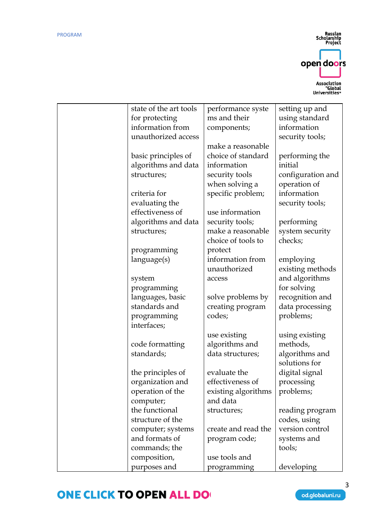Russian<br>Scholarship<br>Project open doors Association<br>Global"<br>Universities"

| state of the art tools<br>performance syste<br>setting up and |  |
|---------------------------------------------------------------|--|
| ms and their<br>for protecting<br>using standard              |  |
| information from<br>information<br>components;                |  |
| unauthorized access<br>security tools;                        |  |
| make a reasonable                                             |  |
| choice of standard<br>basic principles of<br>performing the   |  |
| algorithms and data<br>information<br>initial                 |  |
| security tools<br>configuration and<br>structures;            |  |
| when solving a<br>operation of                                |  |
| criteria for<br>specific problem;<br>information              |  |
| evaluating the<br>security tools;                             |  |
| effectiveness of<br>use information                           |  |
| algorithms and data<br>security tools;<br>performing          |  |
| make a reasonable<br>structures;<br>system security           |  |
| choice of tools to<br>checks;                                 |  |
| protect                                                       |  |
| programming<br>information from                               |  |
| language(s)<br>employing                                      |  |
| unauthorized<br>existing methods                              |  |
| and algorithms<br>system<br>access                            |  |
| for solving<br>programming                                    |  |
| languages, basic<br>recognition and<br>solve problems by      |  |
| standards and<br>data processing<br>creating program          |  |
| codes;<br>problems;<br>programming                            |  |
| interfaces;                                                   |  |
| use existing<br>using existing                                |  |
| algorithms and<br>methods,<br>code formatting                 |  |
| standards;<br>data structures;<br>algorithms and              |  |
| solutions for                                                 |  |
| digital signal<br>the principles of<br>evaluate the           |  |
| effectiveness of<br>organization and<br>processing            |  |
| operation of the<br>existing algorithms<br>problems;          |  |
| and data<br>computer;                                         |  |
| the functional<br>structures;<br>reading program              |  |
| structure of the<br>codes, using                              |  |
| version control<br>computer; systems<br>create and read the   |  |
| and formats of<br>program code;<br>systems and                |  |
| commands; the<br>tools;                                       |  |
| composition,<br>use tools and                                 |  |
| purposes and<br>programming<br>developing                     |  |

# **ONE CLICK TO OPEN ALL DO**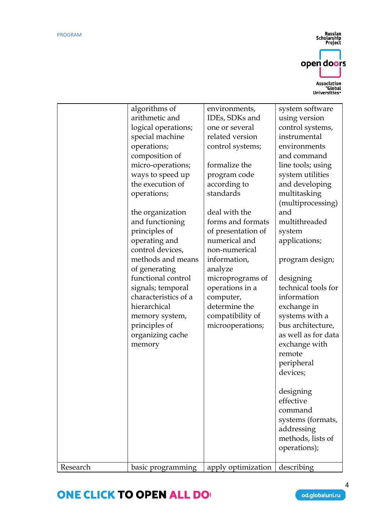Russian<br>Scholarship<br>Project open doors Association<br>Global"<br>Universities"

# **ONE CLICK TO OPEN ALL DO**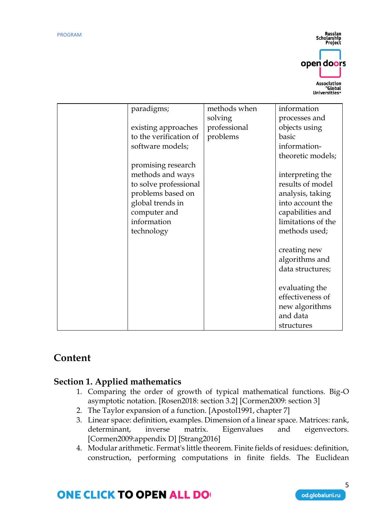Russian<br>Scholarship **Project** open doors Association "Global"<br>"Global

| paradigms;             | methods when | information        |
|------------------------|--------------|--------------------|
|                        | solving      | processes and      |
| existing approaches    | professional | objects using      |
| to the verification of | problems     | basic              |
| software models;       |              | information-       |
|                        |              | theoretic models;  |
| promising research     |              |                    |
| methods and ways       |              | interpreting the   |
| to solve professional  |              | results of model   |
| problems based on      |              | analysis, taking   |
| global trends in       |              | into account the   |
| computer and           |              | capabilities and   |
| information            |              | limitations of the |
| technology             |              | methods used;      |
|                        |              |                    |
|                        |              | creating new       |
|                        |              | algorithms and     |
|                        |              | data structures;   |
|                        |              |                    |
|                        |              | evaluating the     |
|                        |              | effectiveness of   |
|                        |              | new algorithms     |
|                        |              | and data           |
|                        |              | structures         |

## **Content**

### **Section 1. Applied mathematics**

- 1. Comparing the order of growth of typical mathematical functions. Big-O asymptotic notation. [Rosen2018: section 3.2] [Cormen2009: section 3]
- 2. The Taylor expansion of a function. [Apostol1991, chapter 7]
- 3. Linear space: definition, examples. Dimension of a linear space. Matrices: rank, determinant, inverse matrix. Eigenvalues and eigenvectors. [Cormen2009:appendix D] [Strang2016]
- 4. Modular arithmetic. Fermat's little theorem. Finite fields of residues: definition, construction, performing computations in finite fields. The Euclidean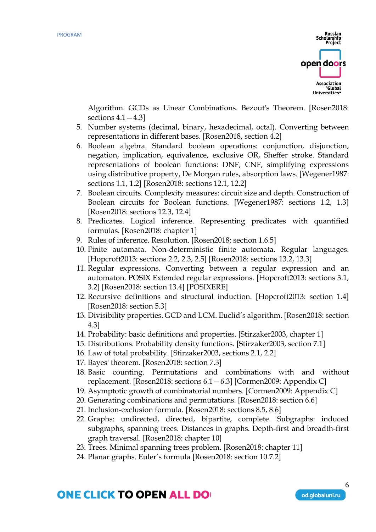

Algorithm. GCDs as Linear Combinations. Bezout's Theorem. [Rosen2018: sections  $4.1 - 4.3$ ]

- 5. Number systems (decimal, binary, hexadecimal, octal). Converting between representations in different bases. [Rosen2018, section 4.2]
- 6. Boolean algebra. Standard boolean operations: conjunction, disjunction, negation, implication, equivalence, exclusive OR, Sheffer stroke. Standard representations of boolean functions: DNF, CNF, simplifying expressions using distributive property, De Morgan rules, absorption laws. [Wegener1987: sections 1.1, 1.2] [Rosen2018: sections 12.1, 12.2]
- 7. Boolean circuits. Complexity measures: circuit size and depth. Construction of Boolean circuits for Boolean functions. [Wegener1987: sections 1.2, 1.3] [Rosen2018: sections 12.3, 12.4]
- 8. Predicates. Logical inference. Representing predicates with quantified formulas. [Rosen2018: chapter 1]
- 9. Rules of inference. Resolution. [Rosen2018: section 1.6.5]
- 10. Finite automata. Non-deterministic finite automata. Regular languages. [Hopcroft2013: sections 2.2, 2.3, 2.5] [Rosen2018: sections 13.2, 13.3]
- 11. Regular expressions. Converting between a regular expression and an automaton. POSIX Extended regular expressions. [Hopcroft2013: sections 3.1, 3.2] [Rosen2018: section 13.4] [POSIXERE]
- 12. Recursive definitions and structural induction. [Hopcroft2013: section 1.4] [Rosen2018: section 5.3]
- 13. Divisibility properties. GCD and LCM. Euclid's algorithm. [Rosen2018: section 4.3]
- 14. Probability: basic definitions and properties. [Stirzaker2003, chapter 1]
- 15. Distributions. Probability density functions. [Stirzaker2003, section 7.1]
- 16. Law of total probability. [Stirzaker2003, sections 2.1, 2.2]
- 17. Bayes' theorem. [Rosen2018: section 7.3]
- 18. Basic counting. Permutations and combinations with and without replacement. [Rosen2018: sections 6.1—6.3] [Cormen2009: Appendix C]
- 19. Asymptotic growth of combinatorial numbers. [Cormen2009: Appendix C]
- 20. Generating combinations and permutations. [Rosen2018: section 6.6]
- 21. Inclusion-exclusion formula. [Rosen2018: sections 8.5, 8.6]
- 22. Graphs: undirected, directed, bipartite, complete. Subgraphs: induced subgraphs, spanning trees. Distances in graphs. Depth-first and breadth-first graph traversal. [Rosen2018: chapter 10]
- 23. Trees. Minimal spanning trees problem. [Rosen2018: chapter 11]
- 24. Planar graphs. Euler's formula [Rosen2018: section 10.7.2]

### **ONE CLICK TO OPEN ALL DO**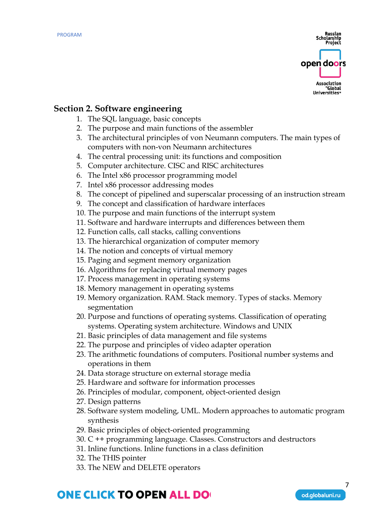

#### **Section 2. Software engineering**

- 1. The SQL language, basic concepts
- 2. The purpose and main functions of the assembler
- 3. The architectural principles of von Neumann computers. The main types of computers with non-von Neumann architectures
- 4. The central processing unit: its functions and composition
- 5. Computer architecture. CISC and RISC architectures
- 6. The Intel x86 processor programming model
- 7. Intel x86 processor addressing modes
- 8. The concept of pipelined and superscalar processing of an instruction stream
- 9. The concept and classification of hardware interfaces
- 10. The purpose and main functions of the interrupt system
- 11. Software and hardware interrupts and differences between them
- 12. Function calls, call stacks, calling conventions
- 13. The hierarchical organization of computer memory
- 14. The notion and concepts of virtual memory
- 15. Paging and segment memory organization
- 16. Algorithms for replacing virtual memory pages
- 17. Process management in operating systems
- 18. Memory management in operating systems
- 19. Memory organization. RAM. Stack memory. Types of stacks. Memory segmentation
- 20. Purpose and functions of operating systems. Classification of operating systems. Operating system architecture. Windows and UNIX
- 21. Basic principles of data management and file systems
- 22. The purpose and principles of video adapter operation
- 23. The arithmetic foundations of computers. Positional number systems and operations in them
- 24. Data storage structure on external storage media
- 25. Hardware and software for information processes
- 26. Principles of modular, component, object-oriented design
- 27. Design patterns
- 28. Software system modeling, UML. Modern approaches to automatic program synthesis
- 29. Basic principles of object-oriented programming
- 30. C ++ programming language. Classes. Constructors and destructors
- 31. Inline functions. Inline functions in a class definition
- 32. The THIS pointer
- 33. The NEW and DELETE operators

# **ONE CLICK TO OPEN ALL DO**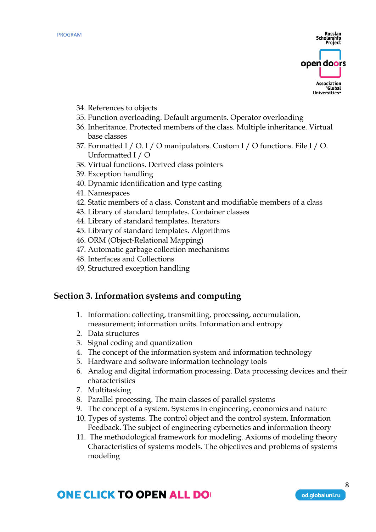

- 34. References to objects
- 35. Function overloading. Default arguments. Operator overloading
- 36. Inheritance. Protected members of the class. Multiple inheritance. Virtual base classes
- 37. Formatted I / O. I / O manipulators. Custom I / O functions. File I / O. Unformatted I / O
- 38. Virtual functions. Derived class pointers
- 39. Exception handling
- 40. Dynamic identification and type casting
- 41. Namespaces
- 42. Static members of a class. Constant and modifiable members of a class
- 43. Library of standard templates. Container classes
- 44. Library of standard templates. Iterators
- 45. Library of standard templates. Algorithms
- 46. ORM (Object-Relational Mapping)
- 47. Automatic garbage collection mechanisms
- 48. Interfaces and Collections
- 49. Structured exception handling

#### **Section 3. Information systems and computing**

- 1. Information: collecting, transmitting, processing, accumulation, measurement; information units. Information and entropy
- 2. Data structures
- 3. Signal coding and quantization
- 4. The concept of the information system and information technology
- 5. Hardware and software information technology tools
- 6. Analog and digital information processing. Data processing devices and their characteristics
- 7. Multitasking
- 8. Parallel processing. The main classes of parallel systems
- 9. The concept of a system. Systems in engineering, economics and nature
- 10. Types of systems. The control object and the control system. Information Feedback. The subject of engineering cybernetics and information theory
- 11. The methodological framework for modeling. Axioms of modeling theory Characteristics of systems models. The objectives and problems of systems modeling

## **ONE CLICK TO OPEN ALL DO**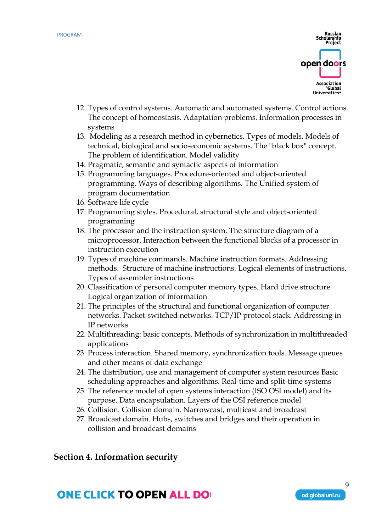

- 12. Types of control systems. Automatic and automated systems. Control actions. The concept of homeostasis. Adaptation problems. Information processes in systems
- 13. Modeling as a research method in cybernetics. Types of models. Models of technical, biological and socio-economic systems. The "black box" concept. The problem of identification. Model validity
- 14. Pragmatic, semantic and syntactic aspects of information
- 15. Programming languages. Procedure-oriented and object-oriented programming. Ways of describing algorithms. The Unified system of program documentation
- 16. Software life cycle
- 17. Programming styles. Procedural, structural style and object-oriented programming
- 18. The processor and the instruction system. The structure diagram of a microprocessor. Interaction between the functional blocks of a processor in instruction execution
- 19. Types of machine commands. Machine instruction formats. Addressing methods. Structure of machine instructions. Logical elements of instructions. Types of assembler instructions
- 20. Classification of personal computer memory types. Hard drive structure. Logical organization of information
- 21. The principles of the structural and functional organization of computer networks. Packet-switched networks. TCP/IP protocol stack. Addressing in IP networks
- 22. Multithreading: basic concepts. Methods of synchronization in multithreaded applications
- 23. Process interaction. Shared memory, synchronization tools. Message queues and other means of data exchange
- 24. The distribution, use and management of computer system resources Basic scheduling approaches and algorithms. Real-time and split-time systems
- 25. The reference model of open systems interaction (ISO OSI model) and its purpose. Data encapsulation. Layers of the OSI reference model
- 26. Collision. Collision domain. Narrowcast, multicast and broadcast
- 27. Broadcast domain. Hubs, switches and bridges and their operation in collision and broadcast domains

#### **Section 4. Information security**

## **ONE CLICK TO OPEN ALL DO**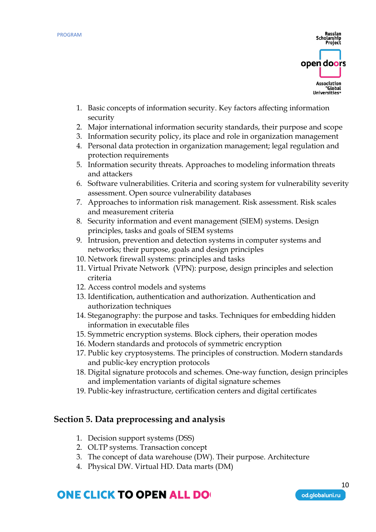

- 1. Basic concepts of information security. Key factors affecting information security
- 2. Major international information security standards, their purpose and scope
- 3. Information security policy, its place and role in organization management
- 4. Personal data protection in organization management; legal regulation and protection requirements
- 5. Information security threats. Approaches to modeling information threats and attackers
- 6. Software vulnerabilities. Criteria and scoring system for vulnerability severity assessment. Open source vulnerability databases
- 7. Approaches to information risk management. Risk assessment. Risk scales and measurement criteria
- 8. Security information and event management (SIEM) systems. Design principles, tasks and goals of SIEM systems
- 9. Intrusion, prevention and detection systems in computer systems and networks; their purpose, goals and design principles
- 10. Network firewall systems: principles and tasks
- 11. Virtual Private Network (VPN): purpose, design principles and selection criteria
- 12. Access control models and systems
- 13. Identification, authentication and authorization. Authentication and authorization techniques
- 14. Steganography: the purpose and tasks. Techniques for embedding hidden information in executable files
- 15. Symmetric encryption systems. Block ciphers, their operation modes
- 16. Modern standards and protocols of symmetric encryption
- 17. Public key cryptosystems. The principles of construction. Modern standards and public-key encryption protocols
- 18. Digital signature protocols and schemes. One-way function, design principles and implementation variants of digital signature schemes
- 19. Public-key infrastructure, certification centers and digital certificates

### **Section 5. Data preprocessing and analysis**

- 1. Decision support systems (DSS)
- 2. OLTP systems. Transaction concept
- 3. The concept of data warehouse (DW). Their purpose. Architecture
- 4. Physical DW. Virtual HD. Data marts (DM)

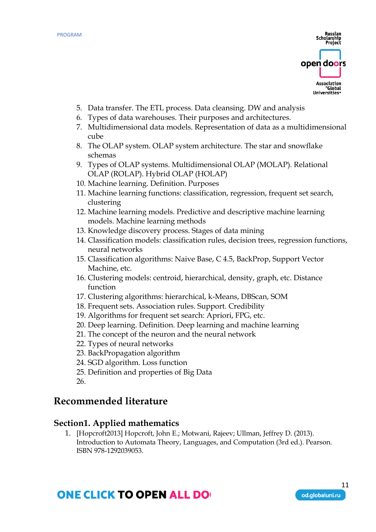

- 5. Data transfer. The ETL process. Data cleansing. DW and analysis
- 6. Types of data warehouses. Their purposes and architectures.
- 7. Multidimensional data models. Representation of data as a multidimensional cube
- 8. The OLAP system. OLAP system architecture. The star and snowflake schemas
- 9. Types of OLAP systems. Multidimensional OLAP (MOLAP). Relational OLAP (ROLAP). Hybrid OLAP (HOLAP)
- 10. Machine learning. Definition. Purposes
- 11. Machine learning functions: classification, regression, frequent set search, clustering
- 12. Machine learning models. Predictive and descriptive machine learning models. Machine learning methods
- 13. Knowledge discovery process. Stages of data mining
- 14. Classification models: classification rules, decision trees, regression functions, neural networks
- 15. Classification algorithms: Naive Base, C 4.5, BackProp, Support Vector Machine, etc.
- 16. Clustering models: centroid, hierarchical, density, graph, etc. Distance function
- 17. Clustering algorithms: hierarchical, k-Means, DBScan, SOM
- 18. Frequent sets. Association rules. Support. Credibility
- 19. Algorithms for frequent set search: Apriori, FPG, etc.
- 20. Deep learning. Definition. Deep learning and machine learning
- 21. The concept of the neuron and the neural network
- 22. Types of neural networks
- 23. BackPropagation algorithm
- 24. SGD algorithm. Loss function
- 25. Definition and properties of Big Data
- 26.

### **Recommended literature**

#### **Section1. Applied mathematics**

1. [Hopcroft2013] Hopcroft, John E.; Motwani, Rajeev; Ullman, Jeffrey D. (2013). Introduction to Automata Theory, Languages, and Computation (3rd ed.). Pearson. ISBN 978-1292039053.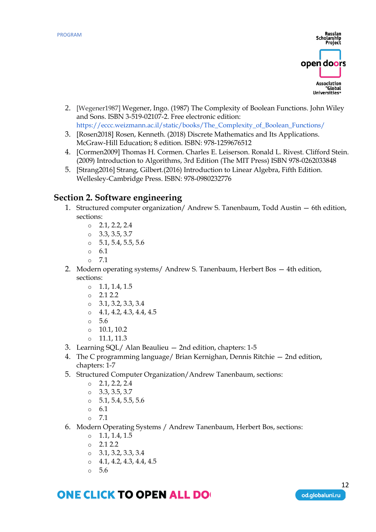

- 2. [Wegener1987] Wegener, Ingo. (1987) The Complexity of Boolean Functions. John Wiley and Sons. ISBN 3-519-02107-2. Free electronic edition: [https://eccc.weizmann.ac.il/static/books/The\\_Complexity\\_of\\_Boolean\\_Functions/](https://eccc.weizmann.ac.il/static/books/The_Complexity_of_Boolean_Functions/)
- 3. [Rosen2018] Rosen, Kenneth. (2018) Discrete Mathematics and Its Applications. McGraw-Hill Education; 8 edition. ISBN: 978-1259676512
- 4. [Cormen2009] Thomas H. Cormen. Charles E. Leiserson. Ronald L. Rivest. Clifford Stein. (2009) Introduction to Algorithms, 3rd Edition (The MIT Press) ISBN 978-0262033848
- 5. [Strang2016] Strang, Gilbert.(2016) Introduction to Linear Algebra, Fifth Edition. Wellesley-Cambridge Press. ISBN: 978-0980232776

### **Section 2. Software engineering**

- 1. Structured computer organization/ Andrew S. Tanenbaum, Todd Austin 6th edition, sections:
	- $\circ$  2.1, 2.2, 2.4
	- $\circ$  3.3, 3.5, 3.7
	- $0, 5.1, 5.4, 5.5, 5.6$
	- o 6.1
	- o 7.1
- 2. Modern operating systems/ Andrew S. Tanenbaum, Herbert Bos 4th edition, sections:
	- $\circ$  1.1, 1.4, 1.5
	- $\circ$  2.1 2.2
	- $\circ$  3.1, 3.2, 3.3, 3.4
	- $\circ$  4.1, 4.2, 4.3, 4.4, 4.5
	- o 5.6
	- $\circ$  10.1, 10.2
	- o 11.1, 11.3
- 3. Learning SQL/ Alan Beaulieu 2nd edition, chapters: 1-5
- 4. The C programming language/ Brian Kernighan, Dennis Ritchie 2nd edition, chapters: 1-7
- 5. Structured Computer Organization/Andrew Tanenbaum, sections:
	- $\circ$  2.1, 2.2, 2.4
	- $\circ$  3.3, 3.5, 3.7
	- $\circ$  5.1, 5.4, 5.5, 5.6
	- o 6.1
	- o 7.1
- 6. Modern Operating Systems / Andrew Tanenbaum, Herbert Bos, sections:
	- $\circ$  1.1, 1.4, 1.5
	- o 2.1 2.2
	- $\circ$  3.1, 3.2, 3.3, 3.4
	- $\circ$  4.1, 4.2, 4.3, 4.4, 4.5
	- o 5.6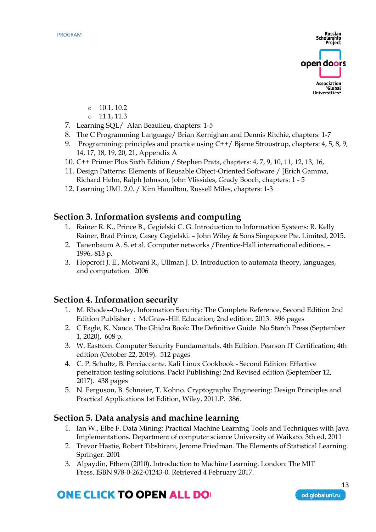

- $\circ$  10.1, 10.2
- o 11.1, 11.3
- 7. Learning SQL/ Alan Beaulieu, chapters: 1-5
- 8. The C Programming Language/ Brian Kernighan and Dennis Ritchie, chapters: 1-7
- 9. Programming: principles and practice using C++/ Bjarne Stroustrup, chapters: 4, 5, 8, 9, 14, 17, 18, 19, 20, 21, Appendix A
- 10. C++ Primer Plus Sixth Edition / Stephen Prata, chapters: 4, 7, 9, 10, 11, 12, 13, 16,
- 11. Design Patterns: Elements of Reusable Object-Oriented Software / [Erich Gamma, Richard Helm, Ralph Johnson, John Vlissides, Grady Booch, chapters: 1 - 5
- 12. Learning UML 2.0. / Kim Hamilton, Russell Miles, chapters: 1-3

#### **Section 3. Information systems and computing**

- 1. Rainer R. K., Prince B., Cegielski C. G. Introduction to Information Systems: R. Kelly Rainer, Brad Prince, Casey Cegielski. – John Wiley & Sons Singapore Pte. Limited, 2015.
- 2. Tanenbaum A. S. et al. Computer networks /Prentice-Hall international editions. 1996.-813 p.
- 3. Hopcroft J. E., Motwani R., Ullman J. D. Introduction to automata theory, languages, and computation. 2006

#### **Section 4. Information security**

- 1. M. Rhodes-Ousley. Information Security: The Complete Reference, Second Edition 2nd Edition Publisher : McGraw-Hill Education; 2nd edition. 2013. 896 pages
- 2. C Eagle, K. Nance. The Ghidra Book: The Definitive Guide No Starch Press (September 1, 2020), 608 p.
- 3. W. Easttom. Computer Security Fundamentals. 4th Edition. Pearson IT Certification; 4th edition (October 22, 2019). 512 pages
- 4. C. P. Schultz, B. Perciaccante. Kali Linux Cookbook Second Edition: Effective penetration testing solutions. Packt Publishing; 2nd Revised edition (September 12, 2017). 438 pages
- 5. N. Ferguson, B. Schneier, T. Kohno. Cryptography Engineering: Design Principles and Practical Applications 1st Edition, Wiley, 2011.P. 386.

#### **Section 5. Data analysis and machine learning**

- 1. Ian W., Elbe F. Data Mining: Practical Machine Learning Tools and Techniques with Java Implementations. Department of computer science University of Waikato. 3th ed, 2011
- 2. Trevor Hastie, Robert Tibshirani, Jerome Friedman. The Elements of Statistical Learning. Springer. 2001
- 3. Alpaydin, Ethem (2010). [Introduction to Machine Learning.](https://archive.org/details/introductiontoma00alpa_0) London: The MIT Press. [ISBN](https://en.wikipedia.org/wiki/ISBN_(identifier)) [978-0-262-01243-0.](https://en.wikipedia.org/wiki/Special:BookSources/978-0-262-01243-0) Retrieved 4 February 2017.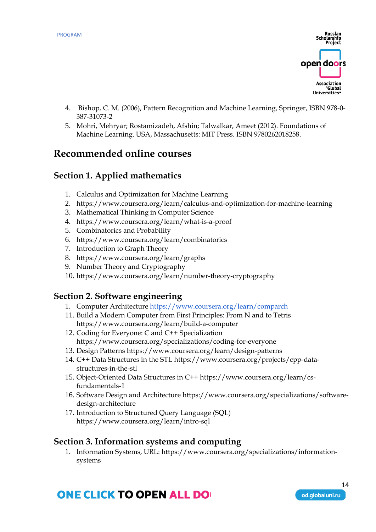

- 4. [Bishop, C. M.](https://en.wikipedia.org/wiki/Christopher_M._Bishop) (2006), Pattern Recognition and Machine Learning, Springer, [ISBN](https://en.wikipedia.org/wiki/ISBN_(identifier)) [978-0-](https://en.wikipedia.org/wiki/Special:BookSources/978-0-387-31073-2) [387-31073-2](https://en.wikipedia.org/wiki/Special:BookSources/978-0-387-31073-2)
- 5. [Mohri, Mehryar;](https://en.wikipedia.org/wiki/Mehryar_Mohri) Rostamizadeh, Afshin; Talwalkar, Ameet (2012). Foundations of Machine Learning. USA, Massachusetts: MIT Press. [ISBN](https://en.wikipedia.org/wiki/ISBN_(identifier)) [9780262018258.](https://en.wikipedia.org/wiki/Special:BookSources/9780262018258)

### **Recommended online courses**

### **Section 1. Applied mathematics**

- 1. Calculus and Optimization for Machine Learning
- 2. <https://www.coursera.org/learn/calculus-and-optimization-for-machine-learning>
- 3. Mathematical Thinking in Computer Science
- 4. <https://www.coursera.org/learn/what-is-a-proof>
- 5. Combinatorics and Probability
- 6. <https://www.coursera.org/learn/combinatorics>
- 7. Introduction to Graph Theory
- 8. <https://www.coursera.org/learn/graphs>
- 9. Number Theory and Cryptography
- 10. <https://www.coursera.org/learn/number-theory-cryptography>

#### **Section 2. Software engineering**

- 1. Computer Architecture<https://www.coursera.org/learn/comparch>
- 11. Build a Modern Computer from First Principles: From N and to Tetris <https://www.coursera.org/learn/build-a-computer>
- 12. Coding for Everyone: C and C++ Specialization <https://www.coursera.org/specializations/coding-for-everyone>
- 13. Design Pattern[s https://www.coursera.org/learn/design-patterns](https://www.coursera.org/learn/design-patterns)
- 14. C++ Data Structures in the ST[L https://www.coursera.org/projects/cpp-data](https://www.coursera.org/projects/cpp-data-structures-in-the-stl)[structures-in-the-stl](https://www.coursera.org/projects/cpp-data-structures-in-the-stl)
- 15. Object-Oriented Data Structures in C++ [https://www.coursera.org/learn/cs](https://www.coursera.org/learn/cs-fundamentals-1)[fundamentals-1](https://www.coursera.org/learn/cs-fundamentals-1)
- 16. Software Design and Architecture [https://www.coursera.org/specializations/software](https://www.coursera.org/specializations/software-design-architecture)[design-architecture](https://www.coursera.org/specializations/software-design-architecture)
- 17. Introduction to Structured Query Language (SQL) <https://www.coursera.org/learn/intro-sql>

#### **Section 3. Information systems and computing**

1. Information Systems, URL[: https://www.coursera.org/specializations/information](https://www.coursera.org/specializations/information-systems)[systems](https://www.coursera.org/specializations/information-systems)